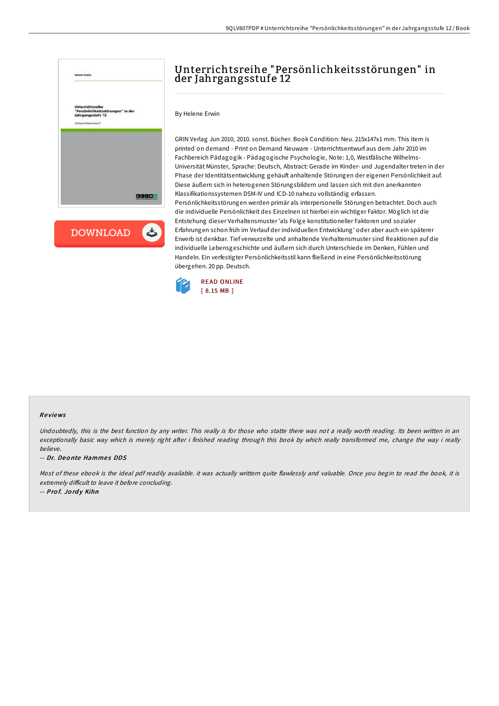

**DOWNLOAD** ٹ

# Unterrichtsreihe "Persönlichkeitsstörungen" in der Jahrgangsstufe 12

By Helene Erwin

GRIN Verlag Jun 2010, 2010. sonst. Bücher. Book Condition: Neu. 215x147x1 mm. This item is printed on demand - Print on Demand Neuware - Unterrichtsentwurf aus dem Jahr 2010 im Fachbereich Pädagogik - Pädagogische Psychologie, Note: 1,0, Westfälische Wilhelms-Universität Münster, Sprache: Deutsch, Abstract: Gerade im Kinder- und Jugendalter treten in der Phase der Identitätsentwicklung gehäuft anhaltende Störungen der eigenen Persönlichkeit auf. Diese äußern sich in heterogenen Störungsbildern und lassen sich mit den anerkannten Klassifikationssystemen DSM-IV und ICD-10 nahezu vollständig erfassen. Persönlichkeitsstörungen werden primär als interpersonelle Störungen betrachtet. Doch auch die individuelle Persönlichkeit des Einzelnen ist hierbei ein wichtiger Faktor. Möglich ist die Entstehung dieser Verhaltensmuster 'als Folge konstitutioneller Faktoren und sozialer Erfahrungen schon früh im Verlauf der individuellen Entwicklung' oder aber auch ein späterer Erwerb ist denkbar. Tief verwurzelte und anhaltende Verhaltensmuster sind Reaktionen auf die individuelle Lebensgeschichte und äußern sich durch Unterschiede im Denken, Fühlen und Handeln. Ein verfestigter Persönlichkeitsstil kann fließend in eine Persönlichkeitsstörung übergehen. 20 pp. Deutsch.



#### Re views

Undoubtedly, this is the best function by any writer. This really is for those who statte there was not a really worth reading. Its been written in an exceptionally basic way which is merely right after i finished reading through this book by which really transformed me, change the way i really believe.

-- Dr. Deonte Hammes DDS

Most of these ebook is the ideal pdf readily available. it was actually writtern quite flawlessly and valuable. Once you begin to read the book, it is extremely difficult to leave it before concluding.

-- Prof. Jordy Kihn